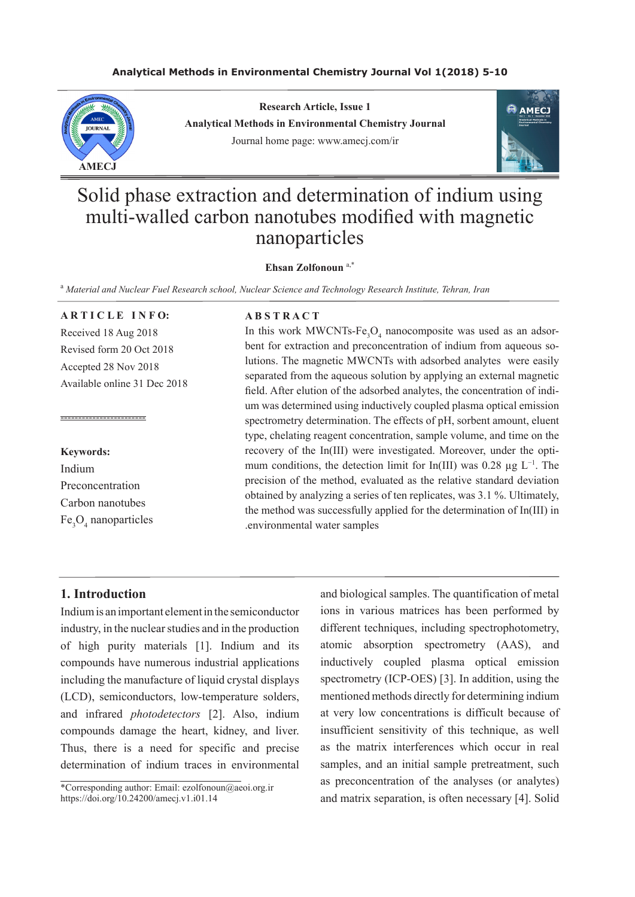# **Analytical Methods in Environmental Chemistry Journal Vol 1(2018) 5-10**



**Research Article, Issue 1 Analytical Methods in Environmental Chemistry Journal** Journal home page: www.amecj.com/ir



# Solid phase extraction and determination of indium using multi-walled carbon nanotubes modified with magnetic nanoparticles

#### **Ehsan Zolfonoun** a,\*

<sup>a</sup> Material and Nuclear Fuel Research school, Nuclear Science and Technology Research Institute, Tehran, Iran

# **ARTICLE INFO:**

Received 18 Aug 2018 Revised form 20 Oct 2018 Accepted 28 Nov 2018 Available online 31 Dec 2018

#### **Keywords:**

Indium Preconcentration Carbon nanotubes Fe<sub>3</sub>O<sub>4</sub> nanoparticles

------------------------

#### **A B S T R A C T**

In this work MWCNTs- $Fe<sub>3</sub>O<sub>4</sub>$  nanocomposite was used as an adsorbent for extraction and preconcentration of indium from aqueous solutions. The magnetic MWCNTs with adsorbed analytes were easily separated from the aqueous solution by applying an external magnetic field. After elution of the adsorbed analytes, the concentration of indium was determined using inductively coupled plasma optical emission spectrometry determination. The effects of pH, sorbent amount, eluent type, chelating reagent concentration, sample volume, and time on the recovery of the In(III) were investigated. Moreover, under the optimum conditions, the detection limit for In(III) was 0.28  $\mu$ g L<sup>-1</sup>. The precision of the method, evaluated as the relative standard deviation obtained by analyzing a series of ten replicates, was 3.1 %. Ultimately, the method was successfully applied for the determination of In(III) in .environmental water samples

# **1. Introduction**

Indium is an important element in the semiconductor industry, in the nuclear studies and in the production of high purity materials [1]. Indium and its compounds have numerous industrial applications including the manufacture of liquid crystal displays (LCD), semiconductors, low-temperature solders, and infrared *photodetectors* [2]. Also, indium compounds damage the heart, kidney, and liver. Thus, there is a need for specific and precise determination of indium traces in environmental

\*Corresponding author: Email: ezolfonoun@aeoi.org.ir https://doi.org/10.24200/amecj.v1.i01.14

and biological samples. The quantification of metal ions in various matrices has been performed by different techniques, including spectrophotometry, atomic absorption spectrometry (AAS), and inductively coupled plasma optical emission spectrometry (ICP-OES) [3]. In addition, using the mentioned methods directly for determining indium at very low concentrations is difficult because of insufficient sensitivity of this technique, as well as the matrix interferences which occur in real samples, and an initial sample pretreatment, such as preconcentration of the analyses (or analytes) and matrix separation, is often necessary [4]. Solid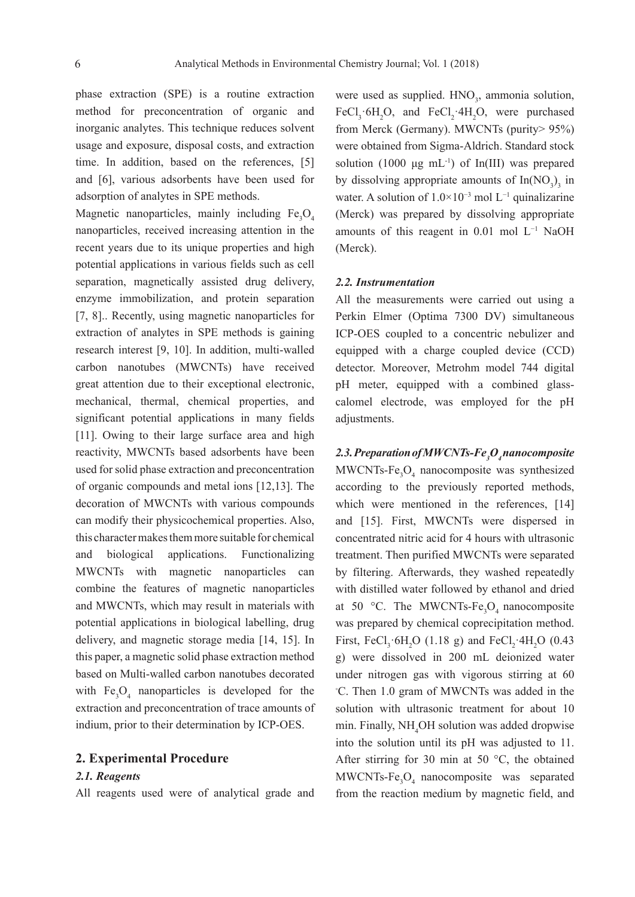phase extraction (SPE) is a routine extraction method for preconcentration of organic and inorganic analytes. This technique reduces solvent usage and exposure, disposal costs, and extraction time. In addition, based on the references, [5] and [6], various adsorbents have been used for adsorption of analytes in SPE methods.

Magnetic nanoparticles, mainly including  $Fe<sub>3</sub>O<sub>4</sub>$ nanoparticles, received increasing attention in the recent years due to its unique properties and high potential applications in various fields such as cell separation, magnetically assisted drug delivery, enzyme immobilization, and protein separation [7, 8].. Recently, using magnetic nanoparticles for extraction of analytes in SPE methods is gaining research interest [9, 10]. In addition, multi-walled carbon nanotubes (MWCNTs) have received great attention due to their exceptional electronic, mechanical, thermal, chemical properties, and significant potential applications in many fields [11]. Owing to their large surface area and high reactivity, MWCNTs based adsorbents have been used for solid phase extraction and preconcentration of organic compounds and metal ions [12,13]. The decoration of MWCNTs with various compounds can modify their physicochemical properties. Also, this character makes them more suitable for chemical and biological applications. Functionalizing MWCNTs with magnetic nanoparticles can combine the features of magnetic nanoparticles and MWCNTs, which may result in materials with potential applications in biological labelling, drug delivery, and magnetic storage media [14, 15]. In this paper, a magnetic solid phase extraction method based on Multi-walled carbon nanotubes decorated with  $Fe<sub>3</sub>O<sub>4</sub>$  nanoparticles is developed for the extraction and preconcentration of trace amounts of indium, prior to their determination by ICP-OES.

#### **2. Experimental Procedure**

# *2.1. Reagents*

All reagents used were of analytical grade and

were used as supplied.  $HNO<sub>3</sub>$ , ammonia solution, FeCl<sub>3</sub> 6H<sub>2</sub>O, and FeCl<sub>2</sub> 4H<sub>2</sub>O, were purchased from Merck (Germany). MWCNTs (purity> 95%) were obtained from Sigma-Aldrich. Standard stock solution  $(1000 \mu g \text{ mL}^{-1})$  of In(III) was prepared by dissolving appropriate amounts of  $In(NO<sub>3</sub>)<sub>3</sub>$  in water. A solution of 1.0×10<sup>-3</sup> mol L<sup>-1</sup> quinalizarine (Merck) was prepared by dissolving appropriate amounts of this reagent in 0.01 mol L<sup>−</sup><sup>1</sup> NaOH (Merck).

#### *2.2. Instrumentation*

All the measurements were carried out using a Perkin Elmer (Optima 7300 DV) simultaneous ICP-OES coupled to a concentric nebulizer and equipped with a charge coupled device (CCD) detector. Moreover, Metrohm model 744 digital pH meter, equipped with a combined glasscalomel electrode, was employed for the pH adjustments.

*2.3. Preparation of MWCNTs-Fe3 O4 nanocomposite*  $MWCNTs-Fe<sub>3</sub>O<sub>4</sub>$  nanocomposite was synthesized according to the previously reported methods, which were mentioned in the references, [14] and [15]. First, MWCNTs were dispersed in concentrated nitric acid for 4 hours with ultrasonic treatment. Then purified MWCNTs were separated by filtering. Afterwards, they washed repeatedly with distilled water followed by ethanol and dried at 50 °C. The MWCNTs-Fe<sub>3</sub>O<sub>4</sub> nanocomposite was prepared by chemical coprecipitation method. First, FeCl<sub>3</sub> 6H<sub>2</sub>O (1.18 g) and FeCl<sub>2</sub> 4H<sub>2</sub>O (0.43 g) were dissolved in 200 mL deionized water under nitrogen gas with vigorous stirring at 60 ◦ C. Then 1.0 gram of MWCNTs was added in the solution with ultrasonic treatment for about 10 min. Finally, NH4 OH solution was added dropwise into the solution until its pH was adjusted to 11. After stirring for 30 min at 50  $^{\circ}$ C, the obtained  $MWCNTs-Fe<sub>3</sub>O<sub>4</sub>$  nanocomposite was separated from the reaction medium by magnetic field, and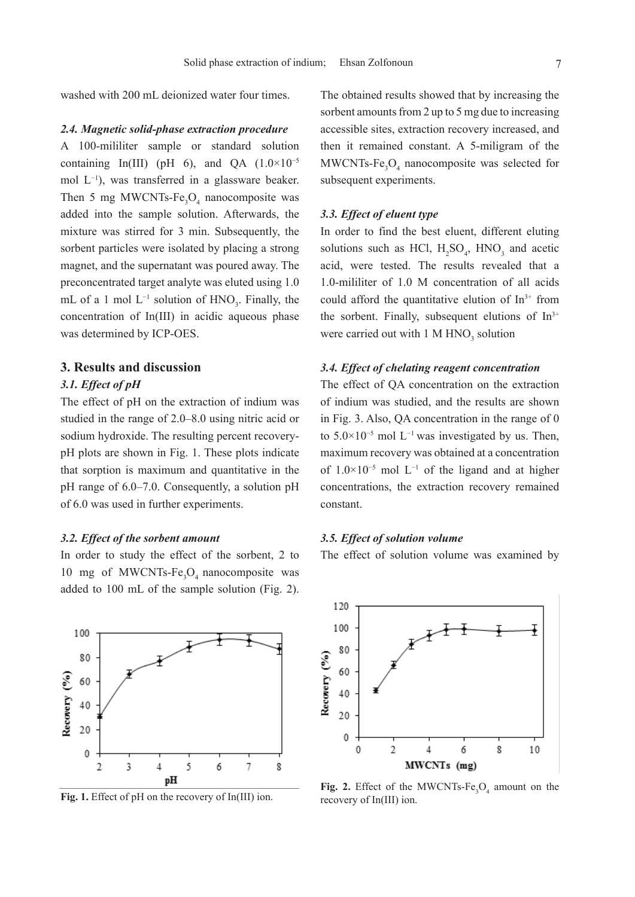washed with 200 mL deionized water four times.

#### *2.4. Magnetic solid-phase extraction procedure*

A 100-mililiter sample or standard solution containing In(III) (pH 6), and QA  $(1.0 \times 10^{-5})$ mol L<sup>−</sup><sup>1</sup> ), was transferred in a glassware beaker. Then 5 mg MWCNTs-Fe<sub>3</sub>O<sub>4</sub> nanocomposite was added into the sample solution. Afterwards, the mixture was stirred for 3 min. Subsequently, the sorbent particles were isolated by placing a strong magnet, and the supernatant was poured away. The preconcentrated target analyte was eluted using 1.0 mL of a 1 mol  $L^{-1}$  solution of  $HNO_3$ . Finally, the concentration of In(III) in acidic aqueous phase was determined by ICP-OES.

# **3. Results and discussion**

# *3.1. Effect of pH*

The effect of pH on the extraction of indium was studied in the range of 2.0–8.0 using nitric acid or sodium hydroxide. The resulting percent recoverypH plots are shown in Fig. 1. These plots indicate that sorption is maximum and quantitative in the pH range of 6.0–7.0. Consequently, a solution pH of 6.0 was used in further experiments.

# *3.2. Effect of the sorbent amount*

In order to study the effect of the sorbent, 2 to 10 mg of MWCNTs- $Fe<sub>3</sub>O<sub>4</sub>$  nanocomposite was added to 100 mL of the sample solution (Fig. 2).



Fig. 1. Effect of pH on the recovery of In(III) ion.

The obtained results showed that by increasing the sorbent amounts from 2 up to 5 mg due to increasing accessible sites, extraction recovery increased, and then it remained constant. A 5-miligram of the  $MWCNTs-Fe<sub>3</sub>O<sub>4</sub>$  nanocomposite was selected for subsequent experiments.

# *3.3. Effect of eluent type*

In order to find the best eluent, different eluting solutions such as HCl,  $H_2SO_4$ , HNO<sub>3</sub> and acetic acid, were tested. The results revealed that a 1.0-mililiter of 1.0 M concentration of all acids could afford the quantitative elution of  $In<sup>3+</sup>$  from the sorbent. Finally, subsequent elutions of  $In<sup>3+</sup>$ were carried out with  $1 M HNO<sub>3</sub>$  solution

# *3.4. Effect of chelating reagent concentration*

The effect of QA concentration on the extraction of indium was studied, and the results are shown in Fig. 3. Also, QA concentration in the range of 0 to  $5.0\times10^{-5}$  mol L<sup>-1</sup> was investigated by us. Then, maximum recovery was obtained at a concentration of 1.0×10−5 mol L<sup>−</sup><sup>1</sup> of the ligand and at higher concentrations, the extraction recovery remained constant.

### *3.5. Effect of solution volume*

The effect of solution volume was examined by



**Fig. 2.** Effect of the MWCNTs- $Fe<sub>3</sub>O<sub>4</sub>$  amount on the recovery of In(III) ion.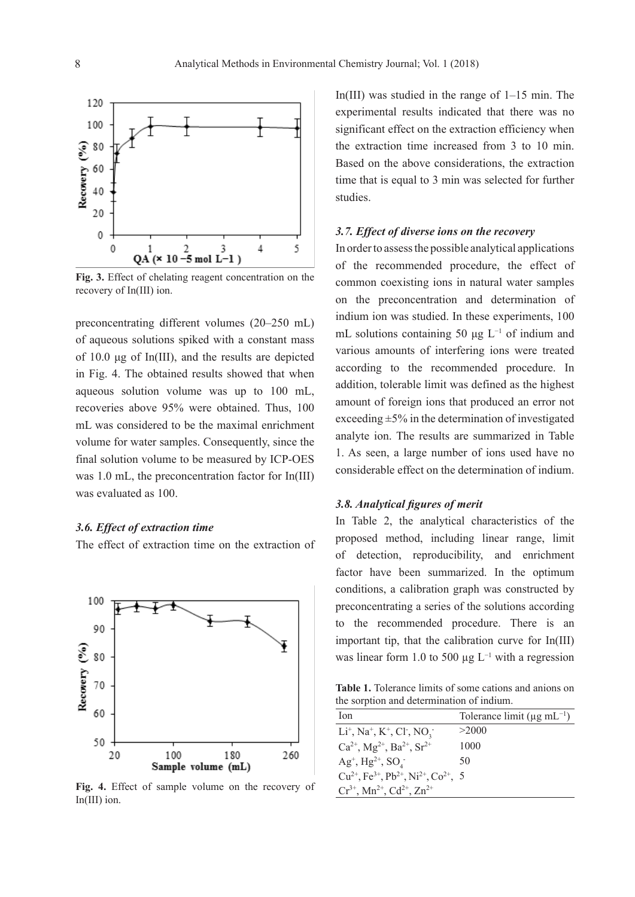

**Fig. 3.** Effect of chelating reagent concentration on the recovery of In(III) ion.

preconcentrating different volumes (20–250 mL) of aqueous solutions spiked with a constant mass of 10.0 μg of In(III), and the results are depicted in Fig. 4. The obtained results showed that when aqueous solution volume was up to 100 mL, recoveries above 95% were obtained. Thus, 100 mL was considered to be the maximal enrichment volume for water samples. Consequently, since the final solution volume to be measured by ICP-OES was 1.0 mL, the preconcentration factor for In(III) was evaluated as 100.

# *3.6. Effect of extraction time*

The effect of extraction time on the extraction of



**Fig. 4.** Effect of sample volume on the recovery of In(III) ion.

In(III) was studied in the range of 1–15 min. The experimental results indicated that there was no significant effect on the extraction efficiency when the extraction time increased from 3 to 10 min. Based on the above considerations, the extraction time that is equal to 3 min was selected for further studies.

# *3.7. Effect of diverse ions on the recovery*

In order to assess the possible analytical applications of the recommended procedure, the effect of common coexisting ions in natural water samples on the preconcentration and determination of indium ion was studied. In these experiments, 100 mL solutions containing 50  $\mu$ g L<sup>-1</sup> of indium and various amounts of interfering ions were treated according to the recommended procedure. In addition, tolerable limit was defined as the highest amount of foreign ions that produced an error not exceeding  $\pm$ 5% in the determination of investigated analyte ion. The results are summarized in Table 1. As seen, a large number of ions used have no considerable effect on the determination of indium.

# *3.8. Analytical figures of merit*

In Table 2, the analytical characteristics of the proposed method, including linear range, limit of detection, reproducibility, and enrichment factor have been summarized. In the optimum conditions, a calibration graph was constructed by preconcentrating a series of the solutions according to the recommended procedure. There is an important tip, that the calibration curve for In(III) was linear form 1.0 to 500  $\mu$ g L<sup>-1</sup> with a regression

**Table 1.** Tolerance limits of some cations and anions on the sorption and determination of indium.

| lon                                                                                        | Tolerance limit ( $\mu$ g mL <sup>-1</sup> ) |
|--------------------------------------------------------------------------------------------|----------------------------------------------|
| $Li^+$ , Na <sup>+</sup> , K <sup>+</sup> , Cl <sup>-</sup> , NO <sub>3</sub> <sup>-</sup> | >2000                                        |
| $Ca^{2+}$ , Mg <sup>2+</sup> , Ba <sup>2+</sup> , Sr <sup>2+</sup>                         | 1000                                         |
| $Ag^+, Hg^{2+}, SO^+$                                                                      | 50                                           |
| $Cu^{2+}$ , Fe <sup>3+</sup> , Pb <sup>2+</sup> , Ni <sup>2+</sup> , Co <sup>2+</sup> , 5  |                                              |
| $Cr^{3+}$ , Mn <sup>2+</sup> , Cd <sup>2+</sup> , Zn <sup>2+</sup>                         |                                              |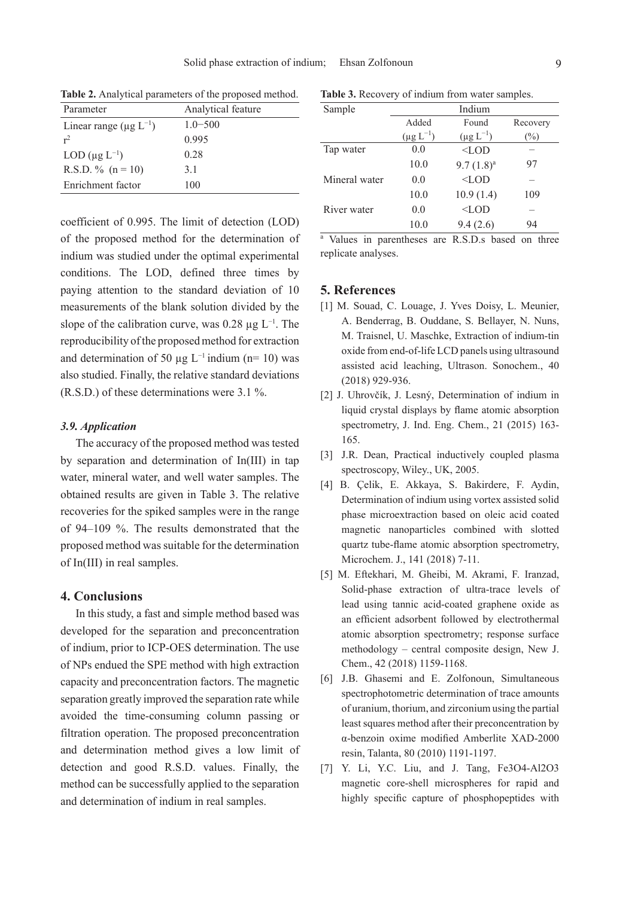| Parameter                                | Analytical feature |  |
|------------------------------------------|--------------------|--|
| Linear range ( $\mu$ g L <sup>-1</sup> ) | $1.0 - 500$        |  |
| $r^2$                                    | 0.995              |  |
| LOD $(\mu g L^{-1})$                     | 0.28               |  |
| R.S.D. $\%$ (n = 10)                     | 31                 |  |
| Enrichment factor                        | 100                |  |

**Table 2.** Analytical parameters of the proposed method.

coefficient of 0.995. The limit of detection (LOD) of the proposed method for the determination of indium was studied under the optimal experimental conditions. The LOD, defined three times by paying attention to the standard deviation of 10 measurements of the blank solution divided by the slope of the calibration curve, was  $0.28 \mu g L^{-1}$ . The reproducibility of the proposed method for extraction and determination of 50 µg  $L^{-1}$  indium (n= 10) was also studied. Finally, the relative standard deviations (R.S.D.) of these determinations were 3.1 %.

# *3.9. Application*

The accuracy of the proposed method was tested by separation and determination of In(III) in tap water, mineral water, and well water samples. The obtained results are given in Table 3. The relative recoveries for the spiked samples were in the range of 94–109 %. The results demonstrated that the proposed method was suitable for the determination of In(III) in real samples.

# **4. Conclusions**

In this study, a fast and simple method based was developed for the separation and preconcentration of indium, prior to ICP-OES determination. The use of NPs endued the SPE method with high extraction capacity and preconcentration factors. The magnetic separation greatly improved the separation rate while avoided the time-consuming column passing or filtration operation. The proposed preconcentration and determination method gives a low limit of detection and good R.S.D. values. Finally, the method can be successfully applied to the separation and determination of indium in real samples.

**Table 3.** Recovery of indium from water samples. Sample Indium

| Sample        | munum            |                  |          |  |
|---------------|------------------|------------------|----------|--|
|               | Added            | Found            | Recovery |  |
|               | $(\mu g L^{-1})$ | $(\mu g L^{-1})$ | $(\%)$   |  |
| Tap water     | 0.0              | $<$ LOD          |          |  |
|               | 10.0             | $9.7(1.8)^a$     | 97       |  |
| Mineral water | 0.0              | $<$ LOD          |          |  |
|               | 10.0             | 10.9(1.4)        | 109      |  |
| River water   | 0.0              | $<$ LOD          |          |  |
|               | 10.0             | 9.4(2.6)         | 94       |  |
|               |                  |                  |          |  |

a Values in parentheses are R.S.D.s based on three replicate analyses.

## **5. References**

- [1] M. Souad, C. Louage, J. Yves Doisy, L. Meunier, A. Benderrag, B. Ouddane, S. Bellayer, N. Nuns, M. Traisnel, U. Maschke, Extraction of indium-tin oxide from end-of-life LCD panels using ultrasound assisted acid leaching, Ultrason. Sonochem., 40 (2018) 929-936.
- [2] J. Uhrovčík, J. Lesný, Determination of indium in liquid crystal displays by flame atomic absorption spectrometry, J. Ind. Eng. Chem., 21 (2015) 163- 165.
- [3] J.R. Dean, Practical inductively coupled plasma spectroscopy, Wiley., UK, 2005.
- [4] B. Çelik, E. Akkaya, S. Bakirdere, F. Aydin, Determination of indium using vortex assisted solid phase microextraction based on oleic acid coated magnetic nanoparticles combined with slotted quartz tube-flame atomic absorption spectrometry, Microchem. J., 141 (2018) 7-11.
- [5] M. Eftekhari, M. Gheibi, M. Akrami, F. Iranzad, Solid-phase extraction of ultra-trace levels of lead using tannic acid-coated graphene oxide as an efficient adsorbent followed by electrothermal atomic absorption spectrometry; response surface methodology – central composite design, New J. Chem., 42 (2018) 1159-1168.
- [6] J.B. Ghasemi and E. Zolfonoun, Simultaneous spectrophotometric determination of trace amounts of uranium, thorium, and zirconium using the partial least squares method after their preconcentration by α-benzoin oxime modified Amberlite XAD-2000 resin, Talanta, 80 (2010) 1191-1197.
- [7] Y. Li, Y.C. Liu, and J. Tang, Fe3O4-Al2O3 magnetic core-shell microspheres for rapid and highly specific capture of phosphopeptides with